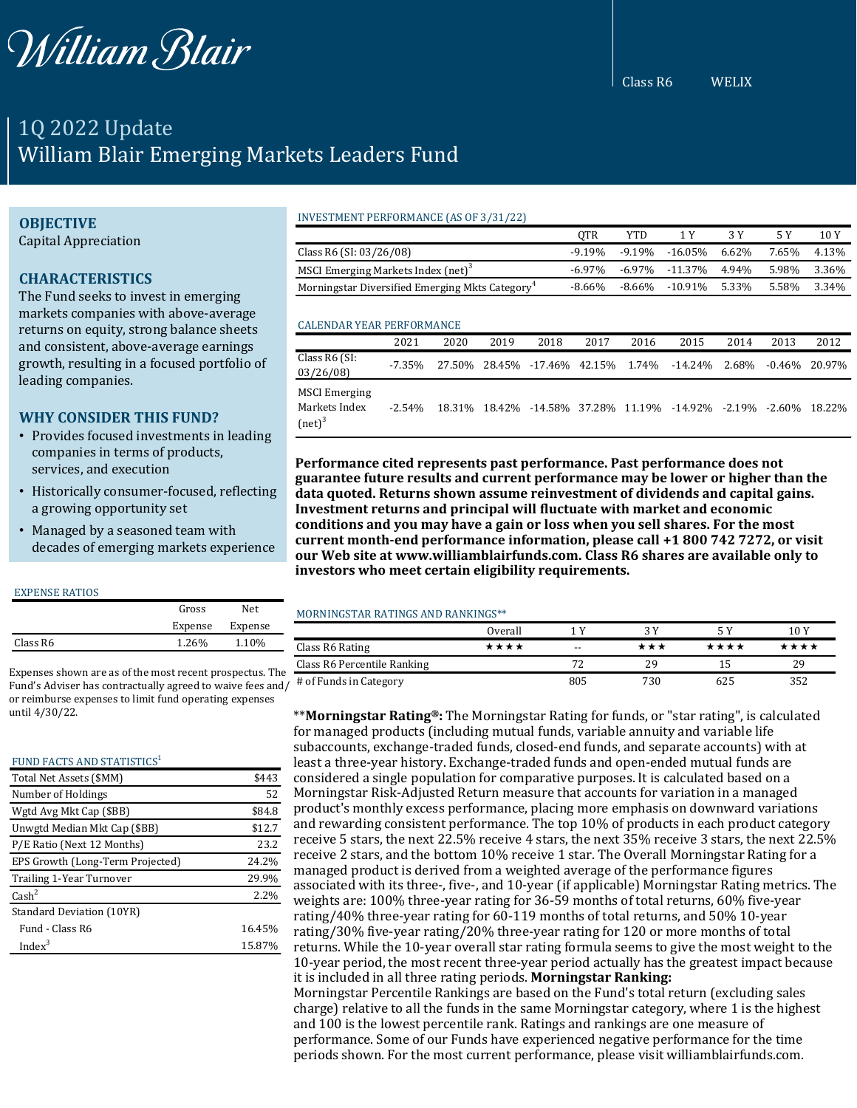

Class R6 WELIX

# 1Q 2022 Update William Blair Emerging Markets Leaders Fund

# **OBJECTIVE**

Capital Appreciation

# **CHARACTERISTICS**

The Fund seeks to invest in emerging markets companies with above-average returns on equity, strong balance sheets and consistent, above-average earnings growth, resulting in a focused portfolio of leading companies.

## **WHY CONSIDER THIS FUND?**

- Provides focused investments in leading companies in terms of products, services, and execution
- Historically consumer-focused, reflecting a growing opportunity set
- Managed by a seasoned team with decades of emerging markets experience

#### EXPENSE RATIOS

|          | Gross   | Net.    |
|----------|---------|---------|
|          | Expense | Expense |
| Class R6 | 1.26%   | 1.10%   |

Expenses shown are as of the most recent prospectus. The Fund's Adviser has contractually agreed to waive fees and/ or reimburse expenses to limit fund operating expenses until 4/30/22.

#### FUND FACTS AND STATISTICS<sup>1</sup> Total Net Assets (\$MM) \$443

| Number of Holdings               | 52     |
|----------------------------------|--------|
| Wgtd Avg Mkt Cap (\$BB)          | \$84.8 |
| Unwgtd Median Mkt Cap (\$BB)     | \$12.7 |
| P/E Ratio (Next 12 Months)       | 23.2   |
| EPS Growth (Long-Term Projected) | 24.2%  |
| Trailing 1-Year Turnover         | 29.9%  |
| $\text{Cash}^2$                  | 2.2%   |
| Standard Deviation (10YR)        |        |
| Fund - Class R6                  | 16.45% |
| Index <sup>3</sup>               | 15.87% |

## INVESTMENT PERFORMANCE (AS OF 3/31/22)

|                                                             | OTR       | YTD    |                |       |       | 10 Y  |
|-------------------------------------------------------------|-----------|--------|----------------|-------|-------|-------|
| Class R6 (SI: 03/26/08)                                     | $-9.19\%$ |        | -9.19% -16.05% | 6.62% | 7.65% | 4.13% |
| MSCI Emerging Markets Index (net) <sup>3</sup>              | -6.97%    |        | -6.97% -11.37% | 4.94% | 5.98% | 3.36% |
| Morningstar Diversified Emerging Mkts Category <sup>4</sup> | -8.66%    | -8.66% | -10.91%        | 5.33% | 5.58% | 3.34% |

#### CALENDAR YEAR PERFORMANCE

|                                                    | 2021      | 2020   | 2019 | 2018                        | 2017 | 2016 | 2015                                        | 2014 | 2013 | 2012              |
|----------------------------------------------------|-----------|--------|------|-----------------------------|------|------|---------------------------------------------|------|------|-------------------|
| Class R6 (SI:<br>03/26/08                          | $-7.35\%$ | 27.50% |      | 28.45% -17.46% 42.15% 1.74% |      |      | $-14.24\%$ 2.68%                            |      |      | $-0.46\%$ 20.97%  |
| <b>MSCI</b> Emerging<br>Markets Index<br>$(net)^3$ | $-2.54\%$ | 18.31% |      |                             |      |      | 18.42% -14.58% 37.28% 11.19% -14.92% -2.19% |      |      | $-2.60\%$ 18.22\% |

**Performance cited represents past performance. Past performance does not guarantee future results and current performance may be lower or higher than the data quoted. Returns shown assume reinvestment of dividends and capital gains. Investment returns and principal will fluctuate with market and economic conditions and you may have a gain or loss when you sell shares. For the most current month-end performance information, please call +1 800 742 7272, or visit our Web site at www.williamblairfunds.com. Class R6 shares are available only to investors who meet certain eligibility requirements.**

## MORNINGSTAR RATINGS AND RANKINGS\*\*

|                             | Overall |       |     |      | 10 Y |
|-----------------------------|---------|-------|-----|------|------|
| Class R6 Rating             | ****    | $- -$ | *** | **** | **** |
| Class R6 Percentile Ranking |         |       | 29  |      | 29   |
| # of Funds in Category      |         | 805   | 730 | 625  | 352  |

\*\***Morningstar Rating®:** The Morningstar Rating for funds, or "star rating", is calculated for managed products (including mutual funds, variable annuity and variable life subaccounts, exchange-traded funds, closed-end funds, and separate accounts) with at least a three-year history. Exchange-traded funds and open-ended mutual funds are considered a single population for comparative purposes. It is calculated based on a Morningstar Risk-Adjusted Return measure that accounts for variation in a managed product's monthly excess performance, placing more emphasis on downward variations and rewarding consistent performance. The top 10% of products in each product category receive 5 stars, the next 22.5% receive 4 stars, the next 35% receive 3 stars, the next 22.5% receive 2 stars, and the bottom 10% receive 1 star. The Overall Morningstar Rating for a managed product is derived from a weighted average of the performance figures associated with its three-, five-, and 10-year (if applicable) Morningstar Rating metrics. The weights are: 100% three-year rating for 36-59 months of total returns, 60% five-year rating/40% three-year rating for 60-119 months of total returns, and 50% 10-year rating/30% five-year rating/20% three-year rating for 120 or more months of total returns. While the 10-year overall star rating formula seems to give the most weight to the 10-year period, the most recent three-year period actually has the greatest impact because it is included in all three rating periods. **Morningstar Ranking:** Morningstar Percentile Rankings are based on the Fund's total return (excluding sales charge) relative to all the funds in the same Morningstar category, where 1 is the highest and 100 is the lowest percentile rank. Ratings and rankings are one measure of performance. Some of our Funds have experienced negative performance for the time periods shown. For the most current performance, please visit williamblairfunds.com.